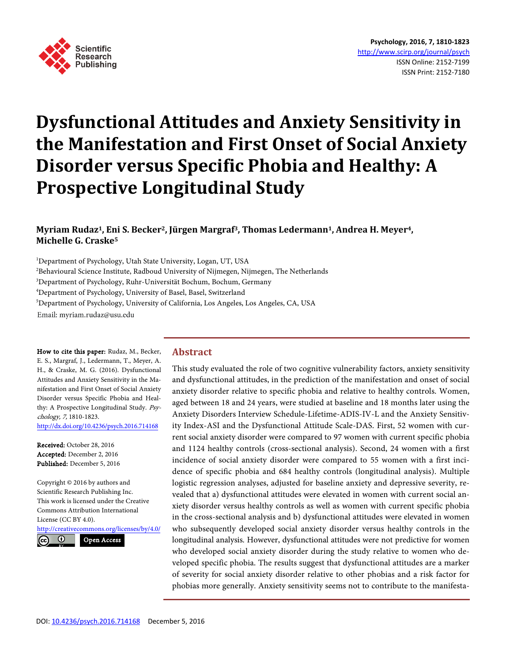

# **Dysfunctional Attitudes and Anxiety Sensitivity in the Manifestation and First Onset of Social Anxiety Disorder versus Specific Phobia and Healthy: A Prospective Longitudinal Study**

# **Myriam Rudaz1, Eni S. Becker2, Jürgen Margraf3, Thomas Ledermann1, Andrea H. Meyer4, Michelle G. Craske5**

 Department of Psychology, Utah State University, Logan, UT, USA  $^2$ Behavioural Science Institute, Radboud University of Nijmegen, Nijmegen, The Netherlands Department of Psychology, Ruhr-Universität Bochum, Bochum, Germany Department of Psychology, University of Basel, Basel, Switzerland Department of Psychology, University of California, Los Angeles, Los Angeles, CA, USA Email: myriam.rudaz@usu.edu

How to cite this paper: Rudaz, M., Becker, E. S., Margraf, J., Ledermann, T., Meyer, A. H., & Craske, M. G. (2016). Dysfunctional Attitudes and Anxiety Sensitivity in the Manifestation and First Onset of Social Anxiety Disorder versus Specific Phobia and Healthy: A Prospective Longitudinal Study. Psychology, 7, 1810-1823. <http://dx.doi.org/10.4236/psych.2016.714168>

Received: October 28, 2016 Accepted: December 2, 2016 Published: December 5, 2016

Copyright © 2016 by authors and Scientific Research Publishing Inc. This work is licensed under the Creative Commons Attribution International License (CC BY 4.0).

<http://creativecommons.org/licenses/by/4.0/>  $\odot$ Open Access

**Abstract**

This study evaluated the role of two cognitive vulnerability factors, anxiety sensitivity and dysfunctional attitudes, in the prediction of the manifestation and onset of social anxiety disorder relative to specific phobia and relative to healthy controls. Women, aged between 18 and 24 years, were studied at baseline and 18 months later using the Anxiety Disorders Interview Schedule-Lifetime-ADIS-IV-L and the Anxiety Sensitivity Index-ASI and the Dysfunctional Attitude Scale-DAS. First, 52 women with current social anxiety disorder were compared to 97 women with current specific phobia and 1124 healthy controls (cross-sectional analysis). Second, 24 women with a first incidence of social anxiety disorder were compared to 55 women with a first incidence of specific phobia and 684 healthy controls (longitudinal analysis). Multiple logistic regression analyses, adjusted for baseline anxiety and depressive severity, revealed that a) dysfunctional attitudes were elevated in women with current social anxiety disorder versus healthy controls as well as women with current specific phobia in the cross-sectional analysis and b) dysfunctional attitudes were elevated in women who subsequently developed social anxiety disorder versus healthy controls in the longitudinal analysis. However, dysfunctional attitudes were not predictive for women who developed social anxiety disorder during the study relative to women who developed specific phobia. The results suggest that dysfunctional attitudes are a marker of severity for social anxiety disorder relative to other phobias and a risk factor for phobias more generally. Anxiety sensitivity seems not to contribute to the manifesta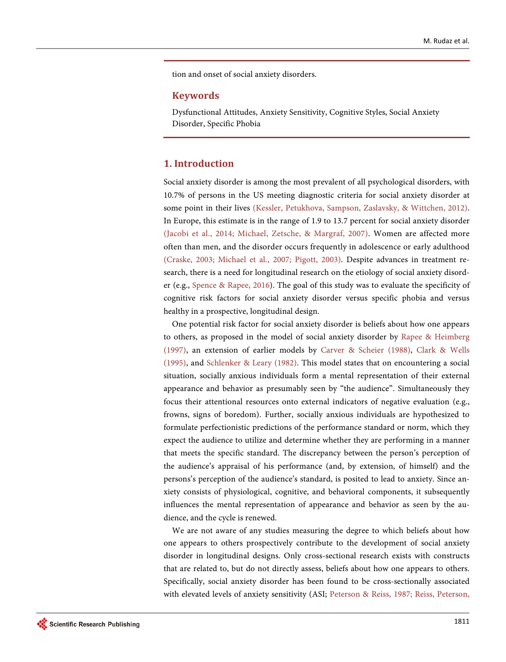tion and onset of social anxiety disorders.

## **Keywords**

Dysfunctional Attitudes, Anxiety Sensitivity, Cognitive Styles, Social Anxiety Disorder, Specific Phobia

# **1. Introduction**

Social anxiety disorder is among the most prevalent of all psychological disorders, with 10.7% of persons in the US meeting diagnostic criteria for social anxiety disorder at some point in their lives [\(Kessler, Petukhova, Sampson, Zaslavsky, & Wittchen, 2012\)](#page-11-0). In Europe, this estimate is in the range of 1.9 to 13.7 percent for social anxiety disorder [\(Jacobi et al., 2014;](#page-11-1) [Michael, Zetsche, & Margraf, 2007\)](#page-12-0). Women are affected more often than men, and the disorder occurs frequently in adolescence or early adulthood [\(Craske, 2003;](#page-11-2) Michael [et al., 2007;](#page-12-1) [Pigott, 2003\)](#page-12-2). Despite advances in treatment research, there is a need for longitudinal research on the etiology of social anxiety disorder (e.g., Spence & [Rapee, 2016\)](#page-12-3). The goal of this study was to evaluate the specificity of cognitive risk factors for social anxiety disorder versus specific phobia and versus healthy in a prospective, longitudinal design.

One potential risk factor for social anxiety disorder is beliefs about how one appears to others, as proposed in the model of social anxiety disorder by Rapee & [Heimberg](#page-12-4)  [\(1997\),](#page-12-4) an extension of earlier models by Carver & [Scheier \(1988\),](#page-11-3) [Clark &](#page-11-4) Wells [\(1995\),](#page-11-4) and Schlenker & [Leary \(1982\).](#page-12-5) This model states that on encountering a social situation, socially anxious individuals form a mental representation of their external appearance and behavior as presumably seen by "the audience". Simultaneously they focus their attentional resources onto external indicators of negative evaluation (e.g., frowns, signs of boredom). Further, socially anxious individuals are hypothesized to formulate perfectionistic predictions of the performance standard or norm, which they expect the audience to utilize and determine whether they are performing in a manner that meets the specific standard. The discrepancy between the person's perception of the audience's appraisal of his performance (and, by extension, of himself) and the persons's perception of the audience's standard, is posited to lead to anxiety. Since anxiety consists of physiological, cognitive, and behavioral components, it subsequently influences the mental representation of appearance and behavior as seen by the audience, and the cycle is renewed.

We are not aware of any studies measuring the degree to which beliefs about how one appears to others prospectively contribute to the development of social anxiety disorder in longitudinal designs. Only cross-sectional research exists with constructs that are related to, but do not directly assess, beliefs about how one appears to others. Specifically, social anxiety disorder has been found to be cross-sectionally associated with elevated levels of anxiety sensitivity (ASI; [Peterson & Reiss, 1987;](#page-12-6) [Reiss, Peterson,](#page-12-7)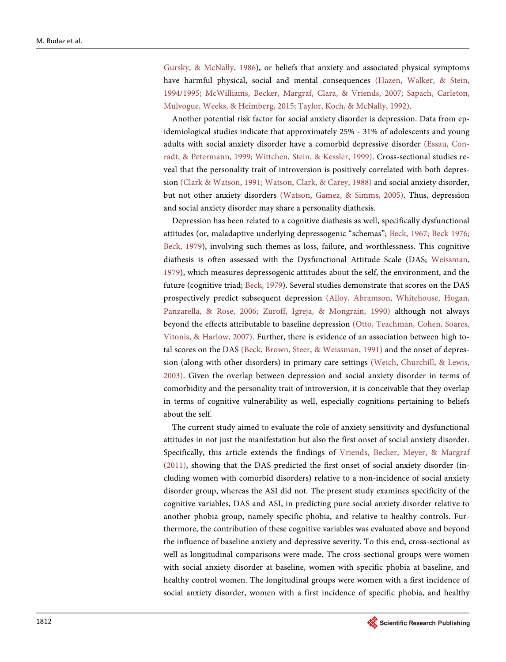Gursky, & McNally, 1986), or beliefs that anxiety and associated physical symptoms have harmful physical, social and mental consequences [\(Hazen, Walker, & Stein,](#page-11-5)  [1994/1995;](#page-11-5) [McWilliams, Becker, Margraf, Clara, & Vriends, 2007;](#page-12-1) [Sapach, Carleton,](#page-12-8)  [Mulvogue, Weeks, &](#page-12-8) Heimberg, 2015; [Taylor, Koch, & McNally, 1992\)](#page-13-0).

Another potential risk factor for social anxiety disorder is depression. Data from epidemiological studies indicate that approximately 25% - 31% of adolescents and young adults with social anxiety disorder have a comorbid depressive disorder [\(Essau, Con](#page-11-6)[radt, & Petermann, 1999;](#page-11-6) [Wittchen, Stein, & Kessler, 1999\)](#page-13-1). Cross-sectional studies reveal that the personality trait of introversion is positively correlated with both depression [\(Clark & Watson, 1991;](#page-11-7) [Watson, Clark, & Carey, 1988\)](#page-13-2) and social anxiety disorder, but not other anxiety disorders [\(Watson, Gamez, & Simms, 2005\)](#page-13-3). Thus, depression and social anxiety disorder may share a personality diathesis.

Depression has been related to a cognitive diathesis as well, specifically dysfunctional attitudes (or, maladaptive underlying depressogenic "schemas"; [Beck, 1967;](#page-10-0) [Beck 1976;](#page-10-1)  [Beck, 1979\)](#page-10-2), involving such themes as loss, failure, and worthlessness. This cognitive diathesis is often assessed with the Dysfunctional Attitude Scale (DAS; [Weissman,](#page-13-4)  [1979\)](#page-13-4), which measures depressogenic attitudes about the self, the environment, and the future (cognitive triad; [Beck, 1979\)](#page-10-2). Several studies demonstrate that scores on the DAS prospectively predict subsequent depression [\(Alloy, Abramson, Whitehouse, Hogan,](#page-10-3)  [Panzarella, & Rose, 2006;](#page-10-3) [Zuroff, Igreja, & Mongrain, 1990\)](#page-13-5) although not always beyond the effects attributable to baseline depression [\(Otto, Teachman, Cohen, Soares,](#page-12-9)  [Vitonis, & Harlow, 2007\)](#page-12-9). Further, there is evidence of an association between high total scores on the DAS [\(Beck, Brown, Steer, & Weissman, 1991\)](#page-10-4) and the onset of depression (along with other disorders) in primary care settings [\(Weich, Churchill, & Lewis,](#page-13-6)  [2003\)](#page-13-6). Given the overlap between depression and social anxiety disorder in terms of comorbidity and the personality trait of introversion, it is conceivable that they overlap in terms of cognitive vulnerability as well, especially cognitions pertaining to beliefs about the self.

The current study aimed to evaluate the role of anxiety sensitivity and dysfunctional attitudes in not just the manifestation but also the first onset of social anxiety disorder. Specifically, this article extends the findings of [Vriends, Becker, Meyer, &](#page-13-7) Margraf [\(2011\),](#page-13-7) showing that the DAS predicted the first onset of social anxiety disorder (including women with comorbid disorders) relative to a non-incidence of social anxiety disorder group, whereas the ASI did not. The present study examines specificity of the cognitive variables, DAS and ASI, in predicting pure social anxiety disorder relative to another phobia group, namely specific phobia, and relative to healthy controls. Furthermore, the contribution of these cognitive variables was evaluated above and beyond the influence of baseline anxiety and depressive severity. To this end, cross-sectional as well as longitudinal comparisons were made. The cross-sectional groups were women with social anxiety disorder at baseline, women with specific phobia at baseline, and healthy control women. The longitudinal groups were women with a first incidence of social anxiety disorder, women with a first incidence of specific phobia, and healthy

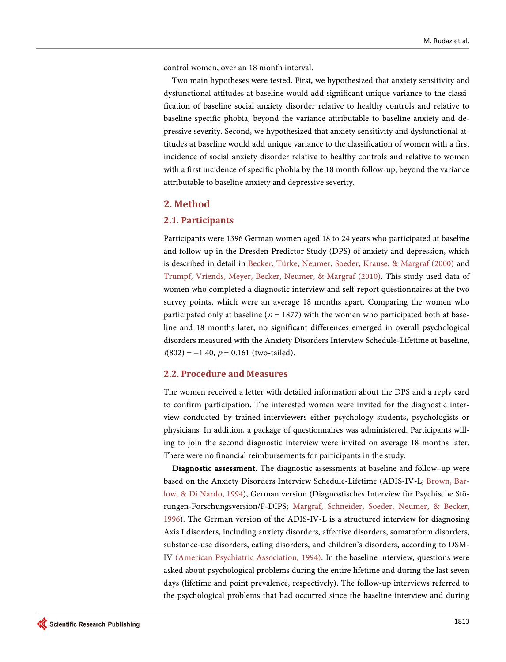control women, over an 18 month interval.

Two main hypotheses were tested. First, we hypothesized that anxiety sensitivity and dysfunctional attitudes at baseline would add significant unique variance to the classification of baseline social anxiety disorder relative to healthy controls and relative to baseline specific phobia, beyond the variance attributable to baseline anxiety and depressive severity. Second, we hypothesized that anxiety sensitivity and dysfunctional attitudes at baseline would add unique variance to the classification of women with a first incidence of social anxiety disorder relative to healthy controls and relative to women with a first incidence of specific phobia by the 18 month follow-up, beyond the variance attributable to baseline anxiety and depressive severity.

## **2. Method**

#### **2.1. Participants**

Participants were 1396 German women aged 18 to 24 years who participated at baseline and follow-up in the Dresden Predictor Study (DPS) of anxiety and depression, which is described in detail in [Becker, Türke, Neumer, Soeder, Krause, &](#page-11-8) Margraf (2000) and [Trumpf, Vriends, Meyer, Becker, Neumer, &](#page-13-8) Margraf (2010). This study used data of women who completed a diagnostic interview and self-report questionnaires at the two survey points, which were an average 18 months apart. Comparing the women who participated only at baseline ( $n = 1877$ ) with the women who participated both at baseline and 18 months later, no significant differences emerged in overall psychological disorders measured with the Anxiety Disorders Interview Schedule-Lifetime at baseline,  $t(802) = -1.40$ ,  $p = 0.161$  (two-tailed).

#### **2.2. Procedure and Measures**

The women received a letter with detailed information about the DPS and a reply card to confirm participation. The interested women were invited for the diagnostic interview conducted by trained interviewers either psychology students, psychologists or physicians. In addition, a package of questionnaires was administered. Participants willing to join the second diagnostic interview were invited on average 18 months later. There were no financial reimbursements for participants in the study.

Diagnostic assessment. The diagnostic assessments at baseline and follow–up were based on the Anxiety Disorders Interview Schedule-Lifetime (ADIS-IV-L; [Brown,](#page-11-9) Bar[low, & Di Nardo, 1994\)](#page-11-9), German version (Diagnostisches Interview für Psychische Störungen-Forschungsversion/F-DIPS; [Margraf, Schneider, Soeder, Neumer, & Becker,](#page-12-10)  [1996\)](#page-12-10). The German version of the ADIS-IV-L is a structured interview for diagnosing Axis I disorders, including anxiety disorders, affective disorders, somatoform disorders, substance-use disorders, eating disorders, and children's disorders, according to DSM-IV [\(American Psychiatric Association, 1994\)](#page-10-5). In the baseline interview, questions were asked about psychological problems during the entire lifetime and during the last seven days (lifetime and point prevalence, respectively). The follow-up interviews referred to the psychological problems that had occurred since the baseline interview and during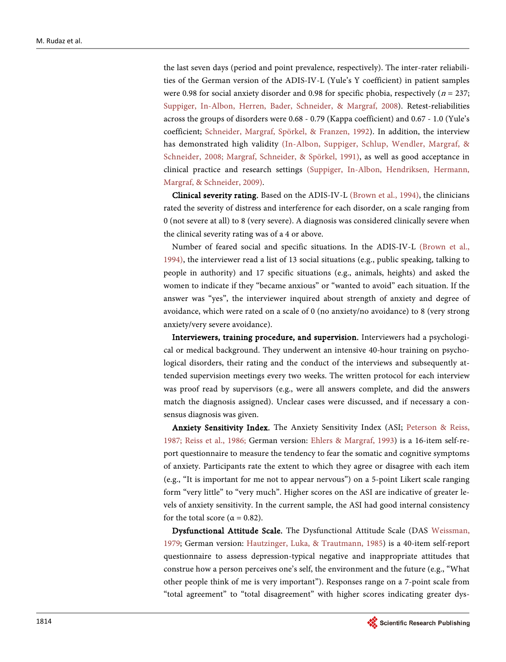the last seven days (period and point prevalence, respectively). The inter-rater reliabilities of the German version of the ADIS-IV-L (Yule's Y coefficient) in patient samples were 0.98 for social anxiety disorder and 0.98 for specific phobia, respectively ( $n = 237$ ; [Suppiger, In-Albon, Herren, Bader, Schneider, & Margraf, 2008\)](#page-12-11). Retest-reliabilities across the groups of disorders were 0.68 - 0.79 (Kappa coefficient) and 0.67 - 1.0 (Yule's coefficient; [Schneider, Margraf, Spörkel, & Franzen, 1992\)](#page-12-12). In addition, the interview has demonstrated high validity [\(In-Albon, Suppiger, Schlup, Wendler, Margraf, &](#page-11-10)  [Schneider, 2008;](#page-11-10) [Margraf, Schneider, & Spörkel, 1991\)](#page-12-13), as well as good acceptance in clinical practice and research settings [\(Suppiger, In-Albon, Hendriksen, Hermann,](#page-12-14)  [Margraf, & Schneider, 2009\)](#page-12-14).

Clinical severity rating. Based on the ADIS-IV-L (Brown [et al., 1994\)](#page-11-9), the clinicians rated the severity of distress and interference for each disorder, on a scale ranging from 0 (not severe at all) to 8 (very severe). A diagnosis was considered clinically severe when the clinical severity rating was of a 4 or above.

Number of feared social and specific situations. In the ADIS-IV-L [\(Brown](#page-11-9) et al., [1994\)](#page-11-9), the interviewer read a list of 13 social situations (e.g., public speaking, talking to people in authority) and 17 specific situations (e.g., animals, heights) and asked the women to indicate if they "became anxious" or "wanted to avoid" each situation. If the answer was "yes", the interviewer inquired about strength of anxiety and degree of avoidance, which were rated on a scale of 0 (no anxiety/no avoidance) to 8 (very strong anxiety/very severe avoidance).

Interviewers, training procedure, and supervision. Interviewers had a psychological or medical background. They underwent an intensive 40-hour training on psychological disorders, their rating and the conduct of the interviews and subsequently attended supervision meetings every two weeks. The written protocol for each interview was proof read by supervisors (e.g., were all answers complete, and did the answers match the diagnosis assigned). Unclear cases were discussed, and if necessary a consensus diagnosis was given.

Anxiety Sensitivity Index. The Anxiety Sensitivity Index (ASI; [Peterson & Reiss,](#page-12-6)  [1987;](#page-12-6) [Reiss et al., 1986;](#page-12-7) German version: [Ehlers & Margraf, 1993\)](#page-11-11) is a 16-item self-report questionnaire to measure the tendency to fear the somatic and cognitive symptoms of anxiety. Participants rate the extent to which they agree or disagree with each item (e.g., "It is important for me not to appear nervous") on a 5-point Likert scale ranging form "very little" to "very much". Higher scores on the ASI are indicative of greater levels of anxiety sensitivity. In the current sample, the ASI had good internal consistency for the total score ( $\alpha = 0.82$ ).

Dysfunctional Attitude Scale. The Dysfunctional Attitude Scale (DAS [Weissman,](#page-13-4)  [1979;](#page-13-4) German version: [Hautzinger, Luka, & Trautmann, 1985\)](#page-11-12) is a 40-item self-report questionnaire to assess depression-typical negative and inappropriate attitudes that construe how a person perceives one's self, the environment and the future (e.g., "What other people think of me is very important"). Responses range on a 7-point scale from "total agreement" to "total disagreement" with higher scores indicating greater dys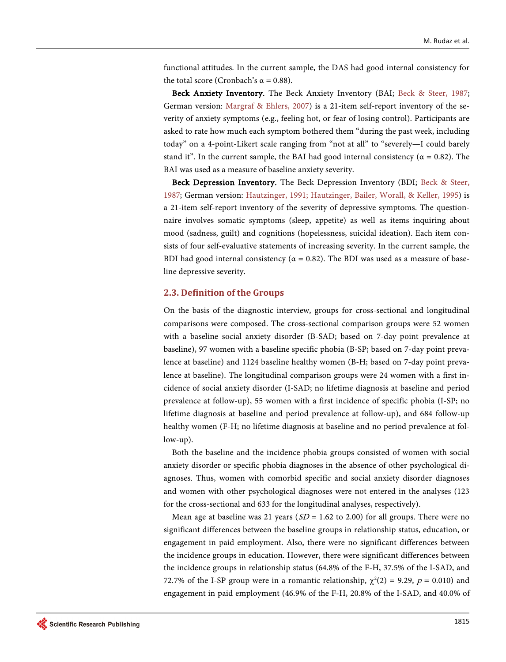functional attitudes. In the current sample, the DAS had good internal consistency for the total score (Cronbach's α = 0.88).

Beck Anxiety Inventory. The Beck Anxiety Inventory (BAI; [Beck & Steer, 1987;](#page-10-6)  German version: [Margraf & Ehlers, 2007\)](#page-12-0) is a 21-item self-report inventory of the severity of anxiety symptoms (e.g., feeling hot, or fear of losing control). Participants are asked to rate how much each symptom bothered them "during the past week, including today" on a 4-point-Likert scale ranging from "not at all" to "severely—I could barely stand it". In the current sample, the BAI had good internal consistency ( $\alpha = 0.82$ ). The BAI was used as a measure of baseline anxiety severity.

Beck Depression Inventory. The Beck Depression Inventory (BDI; [Beck & Steer,](#page-10-6)  [1987;](#page-10-6) German version: [Hautzinger, 1991;](#page-11-13) [Hautzinger, Bailer, Worall, & Keller, 1995\)](#page-11-14) is a 21-item self-report inventory of the severity of depressive symptoms. The questionnaire involves somatic symptoms (sleep, appetite) as well as items inquiring about mood (sadness, guilt) and cognitions (hopelessness, suicidal ideation). Each item consists of four self-evaluative statements of increasing severity. In the current sample, the BDI had good internal consistency ( $\alpha = 0.82$ ). The BDI was used as a measure of baseline depressive severity.

#### **2.3. Definition of the Groups**

On the basis of the diagnostic interview, groups for cross-sectional and longitudinal comparisons were composed. The cross-sectional comparison groups were 52 women with a baseline social anxiety disorder (B-SAD; based on 7-day point prevalence at baseline), 97 women with a baseline specific phobia (B-SP; based on 7-day point prevalence at baseline) and 1124 baseline healthy women (B-H; based on 7-day point prevalence at baseline). The longitudinal comparison groups were 24 women with a first incidence of social anxiety disorder (I-SAD; no lifetime diagnosis at baseline and period prevalence at follow-up), 55 women with a first incidence of specific phobia (I-SP; no lifetime diagnosis at baseline and period prevalence at follow-up), and 684 follow-up healthy women (F-H; no lifetime diagnosis at baseline and no period prevalence at follow-up).

Both the baseline and the incidence phobia groups consisted of women with social anxiety disorder or specific phobia diagnoses in the absence of other psychological diagnoses. Thus, women with comorbid specific and social anxiety disorder diagnoses and women with other psychological diagnoses were not entered in the analyses (123 for the cross-sectional and 633 for the longitudinal analyses, respectively).

Mean age at baseline was 21 years ( $SD = 1.62$  to 2.00) for all groups. There were no significant differences between the baseline groups in relationship status, education, or engagement in paid employment. Also, there were no significant differences between the incidence groups in education. However, there were significant differences between the incidence groups in relationship status (64.8% of the F-H, 37.5% of the I-SAD, and 72.7% of the I-SP group were in a romantic relationship,  $\chi^2(2) = 9.29$ ,  $p = 0.010$ ) and engagement in paid employment (46.9% of the F-H, 20.8% of the I-SAD, and 40.0% of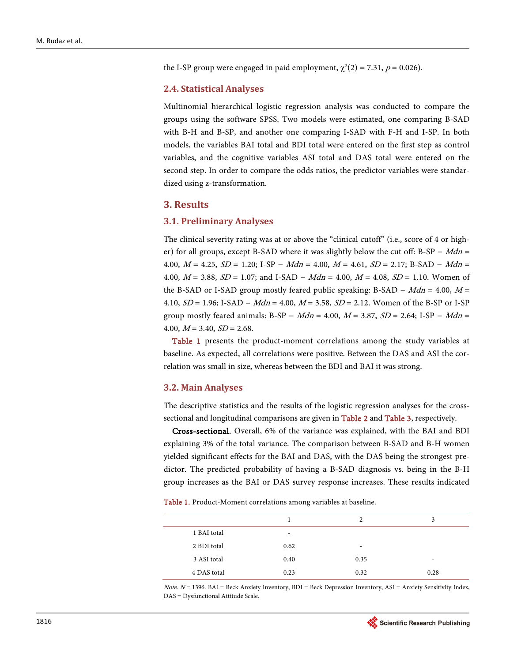the I-SP group were engaged in paid employment,  $\chi^2(2) = 7.31$ ,  $p = 0.026$ ).

#### **2.4. Statistical Analyses**

Multinomial hierarchical logistic regression analysis was conducted to compare the groups using the software SPSS. Two models were estimated, one comparing B-SAD with B-H and B-SP, and another one comparing I-SAD with F-H and I-SP. In both models, the variables BAI total and BDI total were entered on the first step as control variables, and the cognitive variables ASI total and DAS total were entered on the second step. In order to compare the odds ratios, the predictor variables were standardized using z-transformation.

### **3. Results**

#### **3.1. Preliminary Analyses**

The clinical severity rating was at or above the "clinical cutoff" (i.e., score of 4 or higher) for all groups, except B-SAD where it was slightly below the cut off: B-SP –  $Mdn =$ 4.00,  $M = 4.25$ ,  $SD = 1.20$ ; I-SP –  $Mdn = 4.00$ ,  $M = 4.61$ ,  $SD = 2.17$ ; B-SAD –  $Mdn =$ 4.00,  $M = 3.88$ ,  $SD = 1.07$ ; and I-SAD –  $Mdn = 4.00$ ,  $M = 4.08$ ,  $SD = 1.10$ . Women of the B-SAD or I-SAD group mostly feared public speaking: B-SAD –  $Mdn = 4.00$ ,  $M =$ 4.10,  $SD = 1.96$ ; I-SAD –  $Mdn = 4.00$ ,  $M = 3.58$ ,  $SD = 2.12$ . Women of the B-SP or I-SP group mostly feared animals: B-SP – Mdn = 4.00,  $M = 3.87$ ,  $SD = 2.64$ ; I-SP – Mdn = 4.00,  $M = 3.40$ ,  $SD = 2.68$ .

[Table 1](#page-6-0) presents the product-moment correlations among the study variables at baseline. As expected, all correlations were positive. Between the DAS and ASI the correlation was small in size, whereas between the BDI and BAI it was strong.

#### **3.2. Main Analyses**

The descriptive statistics and the results of the logistic regression analyses for the crosssectional and longitudinal comparisons are given i[n Table 2](#page-7-0) and [Table 3,](#page-7-1) respectively.

Cross-sectional. Overall, 6% of the variance was explained, with the BAI and BDI explaining 3% of the total variance. The comparison between B-SAD and B-H women yielded significant effects for the BAI and DAS, with the DAS being the strongest predictor. The predicted probability of having a B-SAD diagnosis vs. being in the B-H group increases as the BAI or DAS survey response increases. These results indicated

<span id="page-6-0"></span>Table 1. Product-Moment correlations among variables at baseline.

|             |                          | 2    | 3    |
|-------------|--------------------------|------|------|
| 1 BAI total | $\overline{\phantom{a}}$ |      |      |
| 2 BDI total | 0.62                     | -    |      |
| 3 ASI total | 0.40                     | 0.35 | ۰    |
| 4 DAS total | 0.23                     | 0.32 | 0.28 |

 $Note. N = 1396. BAI = Beck Anxiety Inventory, BDI = Beck Depression Inventory, ASI = Anxiety Sensitivity Index,$ DAS = Dysfunctional Attitude Scale.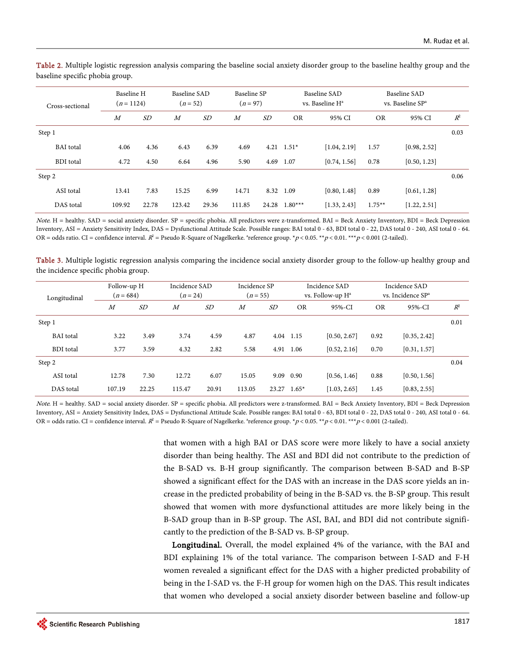| Cross-sectional  | Baseline H<br>$(n=1124)$ |       | Baseline SAD<br>$(n = 52)$ |       | Baseline SP<br>$(n = 97)$ |       | Baseline SAD<br>vs. Baseline H <sup>a</sup> |              | Baseline SAD<br>vs. Baseline SP <sup>a</sup> |              |       |
|------------------|--------------------------|-------|----------------------------|-------|---------------------------|-------|---------------------------------------------|--------------|----------------------------------------------|--------------|-------|
|                  | $\overline{M}$           | SD    | $\overline{M}$             | SD    | $\boldsymbol{M}$          | SD    | <b>OR</b>                                   | 95% CI       | <b>OR</b>                                    | 95% CI       | $R^2$ |
| Step 1           |                          |       |                            |       |                           |       |                                             |              |                                              |              | 0.03  |
| <b>BAI</b> total | 4.06                     | 4.36  | 6.43                       | 6.39  | 4.69                      | 4.21  | $1.51*$                                     | [1.04, 2.19] | 1.57                                         | [0.98, 2.52] |       |
| <b>BDI</b> total | 4.72                     | 4.50  | 6.64                       | 4.96  | 5.90                      | 4.69  | 1.07                                        | [0.74, 1.56] | 0.78                                         | [0.50, 1.23] |       |
| Step 2           |                          |       |                            |       |                           |       |                                             |              |                                              |              | 0.06  |
| ASI total        | 13.41                    | 7.83  | 15.25                      | 6.99  | 14.71                     | 8.32  | 1.09                                        | [0.80, 1.48] | 0.89                                         | [0.61, 1.28] |       |
| DAS total        | 109.92                   | 22.78 | 123.42                     | 29.36 | 111.85                    | 24.28 | $1.80***$                                   | [1.33, 2.43] | $1.75***$                                    | [1.22, 2.51] |       |

<span id="page-7-0"></span>Table 2. Multiple logistic regression analysis comparing the baseline social anxiety disorder group to the baseline healthy group and the baseline specific phobia group.

Note. H = healthy. SAD = social anxiety disorder. SP = specific phobia. All predictors were z-transformed. BAI = Beck Anxiety Inventory, BDI = Beck Depression Inventory, ASI = Anxiety Sensitivity Index, DAS = Dysfunctional Attitude Scale. Possible ranges: BAI total 0 - 63, BDI total 0 - 22, DAS total 0 - 240, ASI total 0 - 64. OR = odds ratio. CI = confidence interval.  $R^2$  = Pseudo R-Square of Nagelkerke. "reference group. \* $p < 0.05$ . \*\* $p < 0.01$ . \*\* $p < 0.001$  (2-tailed).

<span id="page-7-1"></span>Table 3. Multiple logistic regression analysis comparing the incidence social anxiety disorder group to the follow-up healthy group and the incidence specific phobia group.

| Longitudinal     | Follow-up H<br>$(n = 684)$ |       | Incidence SAD<br>$(n = 24)$ |       | Incidence SP<br>$(n = 55)$ |           | Incidence SAD<br>vs. Follow-up H <sup>a</sup> |              | Incidence SAD<br>vs. Incidence SP <sup>a</sup> |              |       |
|------------------|----------------------------|-------|-----------------------------|-------|----------------------------|-----------|-----------------------------------------------|--------------|------------------------------------------------|--------------|-------|
|                  | $\boldsymbol{M}$           | SD    | $\boldsymbol{M}$            | SD    | $\boldsymbol{M}$           | <i>SD</i> | <b>OR</b>                                     | 95%-CI       | <b>OR</b>                                      | 95%-CI       | $R^2$ |
| Step 1           |                            |       |                             |       |                            |           |                                               |              |                                                |              | 0.01  |
| <b>BAI</b> total | 3.22                       | 3.49  | 3.74                        | 4.59  | 4.87                       | 4.04      | 1.15                                          | [0.50, 2.67] | 0.92                                           | [0.35, 2.42] |       |
| <b>BDI</b> total | 3.77                       | 3.59  | 4.32                        | 2.82  | 5.58                       | 4.91      | 1.06                                          | [0.52, 2.16] | 0.70                                           | [0.31, 1.57] |       |
| Step 2           |                            |       |                             |       |                            |           |                                               |              |                                                |              | 0.04  |
| ASI total        | 12.78                      | 7.30  | 12.72                       | 6.07  | 15.05                      | 9.09      | 0.90                                          | [0.56, 1.46] | 0.88                                           | [0.50, 1.56] |       |
| DAS total        | 107.19                     | 22.25 | 115.47                      | 20.91 | 113.05                     | 23.27     | $1.65*$                                       | [1.03, 2.65] | 1.45                                           | [0.83, 2.55] |       |

Note. H = healthy. SAD = social anxiety disorder. SP = specific phobia. All predictors were z-transformed. BAI = Beck Anxiety Inventory, BDI = Beck Depression Inventory, ASI = Anxiety Sensitivity Index, DAS = Dysfunctional Attitude Scale. Possible ranges: BAI total 0 - 63, BDI total 0 - 22, DAS total 0 - 240, ASI total 0 - 64. OR = odds ratio. CI = confidence interval.  $R^2$  = Pseudo R-Square of Nagelkerke. <sup>a</sup>reference group. \*p < 0.05. \*\*p < 0.01. \*\*\*p < 0.001 (2-tailed).

> that women with a high BAI or DAS score were more likely to have a social anxiety disorder than being healthy. The ASI and BDI did not contribute to the prediction of the B-SAD vs. B-H group significantly. The comparison between B-SAD and B-SP showed a significant effect for the DAS with an increase in the DAS score yields an increase in the predicted probability of being in the B-SAD vs. the B-SP group. This result showed that women with more dysfunctional attitudes are more likely being in the B-SAD group than in B-SP group. The ASI, BAI, and BDI did not contribute significantly to the prediction of the B-SAD vs. B-SP group.

> Longitudinal. Overall, the model explained 4% of the variance, with the BAI and BDI explaining 1% of the total variance. The comparison between I-SAD and F-H women revealed a significant effect for the DAS with a higher predicted probability of being in the I-SAD vs. the F-H group for women high on the DAS. This result indicates that women who developed a social anxiety disorder between baseline and follow-up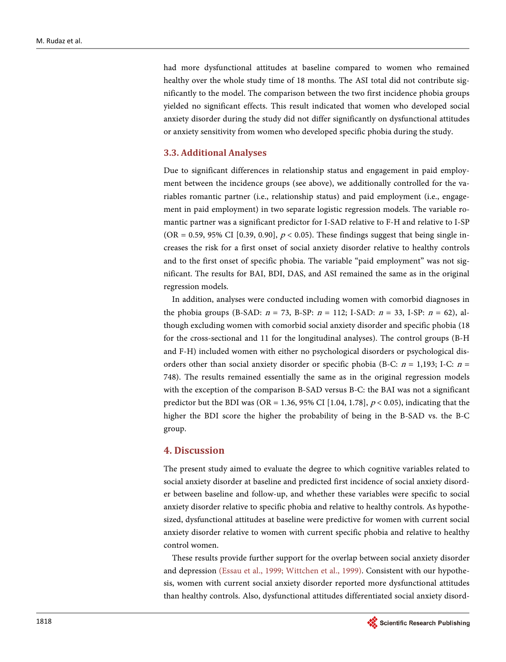had more dysfunctional attitudes at baseline compared to women who remained healthy over the whole study time of 18 months. The ASI total did not contribute significantly to the model. The comparison between the two first incidence phobia groups yielded no significant effects. This result indicated that women who developed social anxiety disorder during the study did not differ significantly on dysfunctional attitudes or anxiety sensitivity from women who developed specific phobia during the study.

#### **3.3. Additional Analyses**

Due to significant differences in relationship status and engagement in paid employment between the incidence groups (see above), we additionally controlled for the variables romantic partner (i.e., relationship status) and paid employment (i.e., engagement in paid employment) in two separate logistic regression models. The variable romantic partner was a significant predictor for I-SAD relative to F-H and relative to I-SP (OR = 0.59, 95% CI [0.39, 0.90],  $p < 0.05$ ). These findings suggest that being single increases the risk for a first onset of social anxiety disorder relative to healthy controls and to the first onset of specific phobia. The variable "paid employment" was not significant. The results for BAI, BDI, DAS, and ASI remained the same as in the original regression models.

In addition, analyses were conducted including women with comorbid diagnoses in the phobia groups (B-SAD:  $n = 73$ , B-SP:  $n = 112$ ; I-SAD:  $n = 33$ , I-SP:  $n = 62$ ), although excluding women with comorbid social anxiety disorder and specific phobia (18 for the cross-sectional and 11 for the longitudinal analyses). The control groups (B-H and F-H) included women with either no psychological disorders or psychological disorders other than social anxiety disorder or specific phobia (B-C:  $n = 1,193$ ; I-C:  $n =$ 748). The results remained essentially the same as in the original regression models with the exception of the comparison B-SAD versus B-C: the BAI was not a significant predictor but the BDI was (OR = 1.36, 95% CI [1.04, 1.78],  $p < 0.05$ ), indicating that the higher the BDI score the higher the probability of being in the B-SAD vs. the B-C group.

#### **4. Discussion**

The present study aimed to evaluate the degree to which cognitive variables related to social anxiety disorder at baseline and predicted first incidence of social anxiety disorder between baseline and follow-up, and whether these variables were specific to social anxiety disorder relative to specific phobia and relative to healthy controls. As hypothesized, dysfunctional attitudes at baseline were predictive for women with current social anxiety disorder relative to women with current specific phobia and relative to healthy control women.

These results provide further support for the overlap between social anxiety disorder and depression [\(Essau et al., 1999;](#page-11-6) [Wittchen et al., 1999\)](#page-13-1). Consistent with our hypothesis, women with current social anxiety disorder reported more dysfunctional attitudes than healthy controls. Also, dysfunctional attitudes differentiated social anxiety disord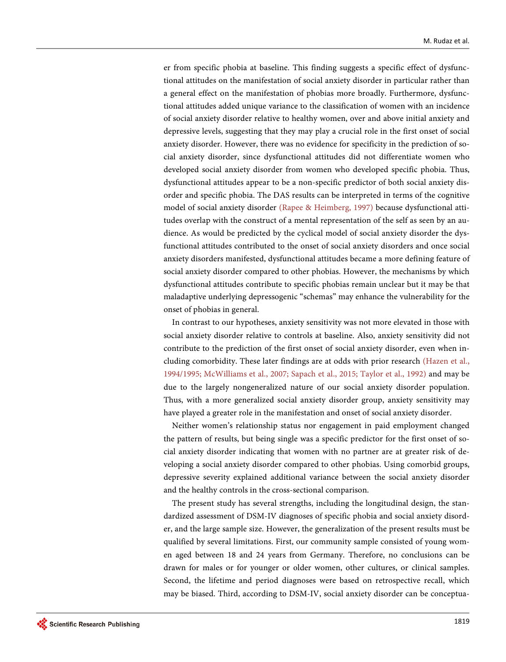er from specific phobia at baseline. This finding suggests a specific effect of dysfunctional attitudes on the manifestation of social anxiety disorder in particular rather than a general effect on the manifestation of phobias more broadly. Furthermore, dysfunctional attitudes added unique variance to the classification of women with an incidence of social anxiety disorder relative to healthy women, over and above initial anxiety and depressive levels, suggesting that they may play a crucial role in the first onset of social anxiety disorder. However, there was no evidence for specificity in the prediction of social anxiety disorder, since dysfunctional attitudes did not differentiate women who developed social anxiety disorder from women who developed specific phobia. Thus, dysfunctional attitudes appear to be a non-specific predictor of both social anxiety disorder and specific phobia. The DAS results can be interpreted in terms of the cognitive model of social anxiety disorder [\(Rapee & Heimberg, 1997\)](#page-12-4) because dysfunctional attitudes overlap with the construct of a mental representation of the self as seen by an audience. As would be predicted by the cyclical model of social anxiety disorder the dysfunctional attitudes contributed to the onset of social anxiety disorders and once social anxiety disorders manifested, dysfunctional attitudes became a more defining feature of social anxiety disorder compared to other phobias. However, the mechanisms by which dysfunctional attitudes contribute to specific phobias remain unclear but it may be that maladaptive underlying depressogenic "schemas" may enhance the vulnerability for the onset of phobias in general.

In contrast to our hypotheses, anxiety sensitivity was not more elevated in those with social anxiety disorder relative to controls at baseline. Also, anxiety sensitivity did not contribute to the prediction of the first onset of social anxiety disorder, even when including comorbidity. These later findings are at odds with prior research [\(Hazen et al.,](#page-11-5)  [1994/1995;](#page-11-5) [McWilliams et al., 2007;](#page-12-1) [Sapach et al., 2015;](#page-12-8) [Taylor et al., 1992\)](#page-13-0) and may be due to the largely nongeneralized nature of our social anxiety disorder population. Thus, with a more generalized social anxiety disorder group, anxiety sensitivity may have played a greater role in the manifestation and onset of social anxiety disorder.

Neither women's relationship status nor engagement in paid employment changed the pattern of results, but being single was a specific predictor for the first onset of social anxiety disorder indicating that women with no partner are at greater risk of developing a social anxiety disorder compared to other phobias. Using comorbid groups, depressive severity explained additional variance between the social anxiety disorder and the healthy controls in the cross-sectional comparison.

The present study has several strengths, including the longitudinal design, the standardized assessment of DSM-IV diagnoses of specific phobia and social anxiety disorder, and the large sample size. However, the generalization of the present results must be qualified by several limitations. First, our community sample consisted of young women aged between 18 and 24 years from Germany. Therefore, no conclusions can be drawn for males or for younger or older women, other cultures, or clinical samples. Second, the lifetime and period diagnoses were based on retrospective recall, which may be biased. Third, according to DSM-IV, social anxiety disorder can be conceptua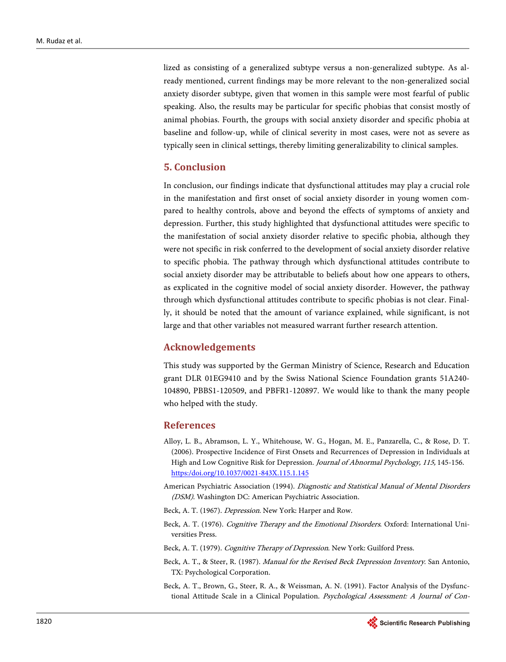lized as consisting of a generalized subtype versus a non-generalized subtype. As already mentioned, current findings may be more relevant to the non-generalized social anxiety disorder subtype, given that women in this sample were most fearful of public speaking. Also, the results may be particular for specific phobias that consist mostly of animal phobias. Fourth, the groups with social anxiety disorder and specific phobia at baseline and follow-up, while of clinical severity in most cases, were not as severe as typically seen in clinical settings, thereby limiting generalizability to clinical samples.

# **5. Conclusion**

In conclusion, our findings indicate that dysfunctional attitudes may play a crucial role in the manifestation and first onset of social anxiety disorder in young women compared to healthy controls, above and beyond the effects of symptoms of anxiety and depression. Further, this study highlighted that dysfunctional attitudes were specific to the manifestation of social anxiety disorder relative to specific phobia, although they were not specific in risk conferred to the development of social anxiety disorder relative to specific phobia. The pathway through which dysfunctional attitudes contribute to social anxiety disorder may be attributable to beliefs about how one appears to others, as explicated in the cognitive model of social anxiety disorder. However, the pathway through which dysfunctional attitudes contribute to specific phobias is not clear. Finally, it should be noted that the amount of variance explained, while significant, is not large and that other variables not measured warrant further research attention.

## **Acknowledgements**

This study was supported by the German Ministry of Science, Research and Education grant DLR 01EG9410 and by the Swiss National Science Foundation grants 51A240- 104890, PBBS1-120509, and PBFR1-120897. We would like to thank the many people who helped with the study.

#### **References**

- <span id="page-10-3"></span>Alloy, L. B., Abramson, L. Y., Whitehouse, W. G., Hogan, M. E., Panzarella, C., & Rose, D. T. (2006). Prospective Incidence of First Onsets and Recurrences of Depression in Individuals at High and Low Cognitive Risk for Depression. Journal of Abnormal Psychology, 115, 145-156. [https:/doi.org/10.1037/0021-843X.115.1.145](https://doi.org/10.1037/0021-843X.115.1.145)
- <span id="page-10-5"></span>American Psychiatric Association (1994). Diagnostic and Statistical Manual of Mental Disorders (DSM). Washington DC: American Psychiatric Association.
- Beck, A. T. (1967). Depression. New York: Harper and Row.
- Beck, A. T. (1976). Cognitive Therapy and the Emotional Disorders. Oxford: International Universities Press.
- Beck, A. T. (1979). Cognitive Therapy of Depression. New York: Guilford Press.
- Beck, A. T., & Steer, R. (1987). Manual for the Revised Beck Depression Inventory. San Antonio, TX: Psychological Corporation.
- Beck, A. T., Brown, G., Steer, R. A., & Weissman, A. N. (1991). Factor Analysis of the Dysfunctional Attitude Scale in a Clinical Population. Psychological Assessment: A Journal of Con-

<span id="page-10-6"></span><span id="page-10-4"></span><span id="page-10-2"></span><span id="page-10-1"></span><span id="page-10-0"></span>1820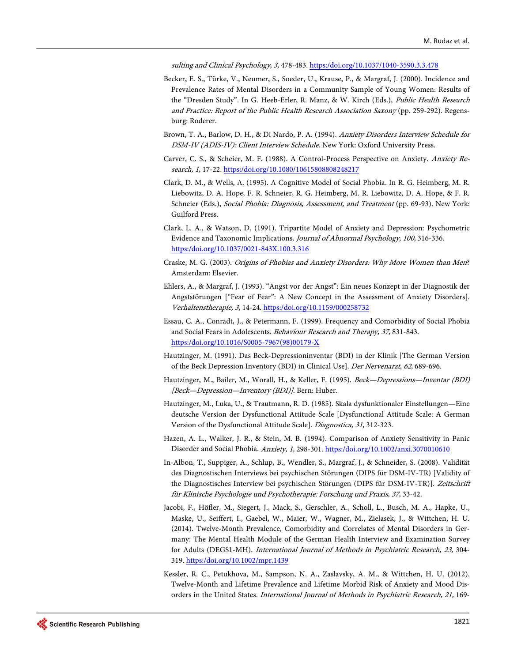sulting and Clinical Psychology, 3, 478-483[. https:/doi.org/10.1037/1040-3590.3.3.478](https://doi.org/10.1037/1040-3590.3.3.478)

- <span id="page-11-8"></span>Becker, E. S., Türke, V., Neumer, S., Soeder, U., Krause, P., & Margraf, J. (2000). Incidence and Prevalence Rates of Mental Disorders in a Community Sample of Young Women: Results of the "Dresden Study". In G. Heeb-Erler, R. Manz, & W. Kirch (Eds.), Public Health Research and Practice: Report of the Public Health Research Association Saxony (pp. 259-292). Regensburg: Roderer.
- <span id="page-11-9"></span>Brown, T. A., Barlow, D. H., & Di Nardo, P. A. (1994). Anxiety Disorders Interview Schedule for DSM-IV (ADIS-IV): Client Interview Schedule. New York: Oxford University Press.
- <span id="page-11-3"></span>Carver, C. S., & Scheier, M. F. (1988). A Control-Process Perspective on Anxiety. Anxiety Research, 1, 17-22[. https:/doi.org/10.1080/10615808808248217](https://doi.org/10.1080/10615808808248217)
- <span id="page-11-4"></span>Clark, D. M., & Wells, A. (1995). A Cognitive Model of Social Phobia. In R. G. Heimberg, M. R. Liebowitz, D. A. Hope, F. R. Schneier, R. G. Heimberg, M. R. Liebowitz, D. A. Hope, & F. R. Schneier (Eds.), Social Phobia: Diagnosis, Assessment, and Treatment (pp. 69-93). New York: Guilford Press.
- <span id="page-11-7"></span>Clark, L. A., & Watson, D. (1991). Tripartite Model of Anxiety and Depression: Psychometric Evidence and Taxonomic Implications. *Journal of Abnormal Psychology*, 100, 316-336. [https:/doi.org/10.1037/0021-843X.100.3.316](https://doi.org/10.1037/0021-843X.100.3.316)
- <span id="page-11-2"></span>Craske, M. G. (2003). Origins of Phobias and Anxiety Disorders: Why More Women than Men? Amsterdam: Elsevier.
- <span id="page-11-11"></span>Ehlers, A., & Margraf, J. (1993). "Angst vor der Angst": Ein neues Konzept in der Diagnostik der Angststörungen ["Fear of Fear": A New Concept in the Assessment of Anxiety Disorders]. Verhaltenstherapie, 3, 14-24. [https:/doi.org/10.1159/000258732](https://doi.org/10.1159/000258732)
- <span id="page-11-6"></span>Essau, C. A., Conradt, J., & Petermann, F. (1999). Frequency and Comorbidity of Social Phobia and Social Fears in Adolescents. Behaviour Research and Therapy, 37, 831-843. [https:/doi.org/10.1016/S0005-7967\(98\)00179-X](https://doi.org/10.1016/S0005-7967(98)00179-X)
- <span id="page-11-13"></span>Hautzinger, M. (1991). Das Beck-Depressioninventar (BDI) in der Klinik [The German Version of the Beck Depression Inventory (BDI) in Clinical Use]. Der Nervenarzt, 62, 689-696.
- <span id="page-11-14"></span>Hautzinger, M., Bailer, M., Worall, H., & Keller, F. (1995). Beck-Depressions-Inventar (BDI) [Beck—Depression—Inventory (BDI)]. Bern: Huber.
- <span id="page-11-12"></span>Hautzinger, M., Luka, U., & Trautmann, R. D. (1985). Skala dysfunktionaler Einstellungen—Eine deutsche Version der Dysfunctional Attitude Scale [Dysfunctional Attitude Scale: A German Version of the Dysfunctional Attitude Scale]. Diagnostica, 31, 312-323.
- <span id="page-11-5"></span>Hazen, A. L., Walker, J. R., & Stein, M. B. (1994). Comparison of Anxiety Sensitivity in Panic Disorder and Social Phobia. Anxiety, 1, 298-301. [https:/doi.org/10.1002/anxi.3070010610](https://doi.org/10.1002/anxi.3070010610)
- <span id="page-11-10"></span>In-Albon, T., Suppiger, A., Schlup, B., Wendler, S., Margraf, J., & Schneider, S. (2008). Validität des Diagnostischen Interviews bei psychischen Störungen (DIPS für DSM-IV-TR) [Validity of the Diagnostisches Interview bei psychischen Störungen (DIPS für DSM-IV-TR)]. Zeitschrift für Klinische Psychologie und Psychotherapie: Forschung und Praxis, 37, 33-42.
- <span id="page-11-1"></span>Jacobi, F., Höfler, M., Siegert, J., Mack, S., Gerschler, A., Scholl, L., Busch, M. A., Hapke, U., Maske, U., Seiffert, I., Gaebel, W., Maier, W., Wagner, M., Zielasek, J., & Wittchen, H. U. (2014). Twelve-Month Prevalence, Comorbidity and Correlates of Mental Disorders in Germany: The Mental Health Module of the German Health Interview and Examination Survey for Adults (DEGS1-MH). International Journal of Methods in Psychiatric Research, 23, 304- 319. [https:/doi.org/10.1002/mpr.1439](https://doi.org/10.1002/mpr.1439)
- <span id="page-11-0"></span>Kessler, R. C., Petukhova, M., Sampson, N. A., Zaslavsky, A. M., & Wittchen, H. U. (2012). Twelve-Month and Lifetime Prevalence and Lifetime Morbid Risk of Anxiety and Mood Disorders in the United States. International Journal of Methods in Psychiatric Research, 21, 169-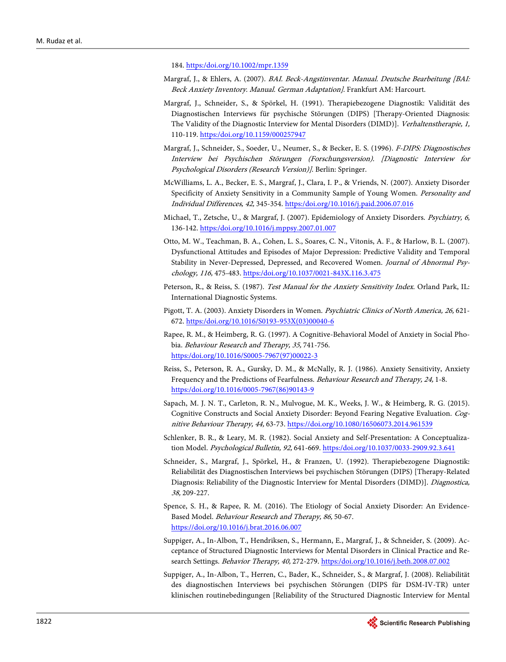184. [https:/doi.org/10.1002/mpr.1359](https://doi.org/10.1002/mpr.1359)

- <span id="page-12-0"></span>Margraf, J., & Ehlers, A. (2007). BAI. Beck-Angstinventar. Manual. Deutsche Bearbeitung [BAI: Beck Anxiety Inventory. Manual. German Adaptation]. Frankfurt AM: Harcourt.
- <span id="page-12-13"></span>Margraf, J., Schneider, S., & Spörkel, H. (1991). Therapiebezogene Diagnostik: Validität des Diagnostischen Interviews für psychische Störungen (DIPS) [Therapy-Oriented Diagnosis: The Validity of the Diagnostic Interview for Mental Disorders (DIMD)]. Verhaltenstherapie, 1, 110-119[. https:/doi.org/10.1159/000257947](https://doi.org/10.1159/000257947)
- <span id="page-12-10"></span>Margraf, J., Schneider, S., Soeder, U., Neumer, S., & Becker, E. S. (1996). F-DIPS: Diagnostisches Interview bei Psychischen Störungen (Forschungsversion). [Diagnostic Interview for Psychological Disorders (Research Version)]. Berlin: Springer.
- <span id="page-12-1"></span>McWilliams, L. A., Becker, E. S., Margraf, J., Clara, I. P., & Vriends, N. (2007). Anxiety Disorder Specificity of Anxiety Sensitivity in a Community Sample of Young Women. Personality and Individual Differences, 42, 345-354[. https:/doi.org/10.1016/j.paid.2006.07.016](https://doi.org/10.1016/j.paid.2006.07.016)
- Michael, T., Zetsche, U., & Margraf, J. (2007). Epidemiology of Anxiety Disorders. Psychiatry, 6, 136-142. [https:/doi.org/10.1016/j.mppsy.2007.01.007](https://doi.org/10.1016/j.mppsy.2007.01.007)
- <span id="page-12-9"></span>Otto, M. W., Teachman, B. A., Cohen, L. S., Soares, C. N., Vitonis, A. F., & Harlow, B. L. (2007). Dysfunctional Attitudes and Episodes of Major Depression: Predictive Validity and Temporal Stability in Never-Depressed, Depressed, and Recovered Women. Journal of Abnormal Psychology, 116, 475-483[. https:/doi.org/10.1037/0021-843X.116.3.475](https://doi.org/10.1037/0021-843X.116.3.475)
- <span id="page-12-6"></span>Peterson, R., & Reiss, S. (1987). Test Manual for the Anxiety Sensitivity Index. Orland Park, IL: International Diagnostic Systems.
- <span id="page-12-2"></span>Pigott, T. A. (2003). Anxiety Disorders in Women. Psychiatric Clinics of North America, 26, 621- 672. [https:/doi.org/10.1016/S0193-953X\(03\)00040-6](https://doi.org/10.1016/S0193-953X(03)00040-6)
- <span id="page-12-4"></span>Rapee, R. M., & Heimberg, R. G. (1997). A Cognitive-Behavioral Model of Anxiety in Social Phobia. Behaviour Research and Therapy, 35, 741-756. [https:/doi.org/10.1016/S0005-7967\(97\)00022-3](https://doi.org/10.1016/S0005-7967(97)00022-3)
- <span id="page-12-7"></span>Reiss, S., Peterson, R. A., Gursky, D. M., & McNally, R. J. (1986). Anxiety Sensitivity, Anxiety Frequency and the Predictions of Fearfulness. Behaviour Research and Therapy, 24, 1-8. [https:/doi.org/10.1016/0005-7967\(86\)90143-9](https://doi.org/10.1016/0005-7967(86)90143-9)
- <span id="page-12-8"></span>Sapach, M. J. N. T., Carleton, R. N., Mulvogue, M. K., Weeks, J. W., & Heimberg, R. G. (2015). Cognitive Constructs and Social Anxiety Disorder: Beyond Fearing Negative Evaluation. Cognitive Behaviour Therapy, 44, 63-73. <https://doi.org/10.1080/16506073.2014.961539>
- <span id="page-12-5"></span>Schlenker, B. R., & Leary, M. R. (1982). Social Anxiety and Self-Presentation: A Conceptualization Model. Psychological Bulletin, 92, 641-669[. https:/doi.org/10.1037/0033-2909.92.3.641](https://doi.org/10.1037/0033-2909.92.3.641)
- <span id="page-12-12"></span>Schneider, S., Margraf, J., Spörkel, H., & Franzen, U. (1992). Therapiebezogene Diagnostik: Reliabilität des Diagnostischen Interviews bei psychischen Störungen (DIPS) [Therapy-Related Diagnosis: Reliability of the Diagnostic Interview for Mental Disorders (DIMD)]. Diagnostica, 38, 209-227.
- <span id="page-12-3"></span>Spence, S. H., & Rapee, R. M. (2016). The Etiology of Social Anxiety Disorder: An Evidence-Based Model. Behaviour Research and Therapy, 86, 50-67. <https://doi.org/10.1016/j.brat.2016.06.007>
- <span id="page-12-14"></span>Suppiger, A., In-Albon, T., Hendriksen, S., Hermann, E., Margraf, J., & Schneider, S. (2009). Acceptance of Structured Diagnostic Interviews for Mental Disorders in Clinical Practice and Research Settings. Behavior Therapy, 40, 272-279. [https:/doi.org/10.1016/j.beth.2008.07.002](https://doi.org/10.1016/j.beth.2008.07.002)
- <span id="page-12-11"></span>Suppiger, A., In-Albon, T., Herren, C., Bader, K., Schneider, S., & Margraf, J. (2008). Reliabilität des diagnostischen Interviews bei psychischen Störungen (DIPS für DSM-IV-TR) unter klinischen routinebedingungen [Reliability of the Structured Diagnostic Interview for Mental